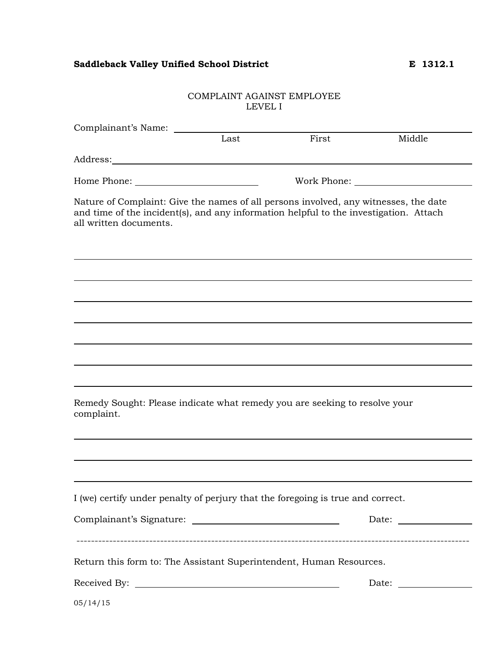## Saddleback Valley Unified School District **E** 1312.1

### COMPLAINT AGAINST EMPLOYEE LEVEL I

| Complainant's Name:                                                                                                                                                                                     |      |       |        |
|---------------------------------------------------------------------------------------------------------------------------------------------------------------------------------------------------------|------|-------|--------|
|                                                                                                                                                                                                         | Last | First | Middle |
|                                                                                                                                                                                                         |      |       |        |
|                                                                                                                                                                                                         |      |       |        |
| Nature of Complaint: Give the names of all persons involved, any witnesses, the date<br>and time of the incident(s), and any information helpful to the investigation. Attach<br>all written documents. |      |       |        |
|                                                                                                                                                                                                         |      |       |        |
|                                                                                                                                                                                                         |      |       |        |
|                                                                                                                                                                                                         |      |       |        |
|                                                                                                                                                                                                         |      |       |        |
|                                                                                                                                                                                                         |      |       |        |
| Remedy Sought: Please indicate what remedy you are seeking to resolve your<br>complaint.                                                                                                                |      |       |        |
|                                                                                                                                                                                                         |      |       |        |
| I (we) certify under penalty of perjury that the foregoing is true and correct.                                                                                                                         |      |       |        |
|                                                                                                                                                                                                         |      |       |        |
| Return this form to: The Assistant Superintendent, Human Resources.                                                                                                                                     |      |       |        |
|                                                                                                                                                                                                         |      |       |        |
| 05/14/15                                                                                                                                                                                                |      |       |        |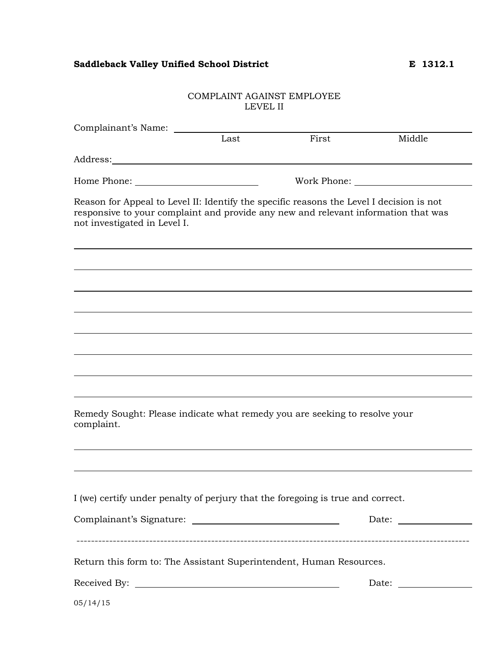# Saddleback Valley Unified School District **E** 1312.1

### COMPLAINT AGAINST EMPLOYEE LEVEL II

| Complainant's Name:                                                                                                                                                                                            |      |                                                                                                                                                                                                                                |        |  |  |
|----------------------------------------------------------------------------------------------------------------------------------------------------------------------------------------------------------------|------|--------------------------------------------------------------------------------------------------------------------------------------------------------------------------------------------------------------------------------|--------|--|--|
|                                                                                                                                                                                                                | Last | First                                                                                                                                                                                                                          | Middle |  |  |
|                                                                                                                                                                                                                |      |                                                                                                                                                                                                                                |        |  |  |
|                                                                                                                                                                                                                |      | Work Phone: University of the University of the University of the University of the University of the University of the University of the University of the University of the University of the University of the University o |        |  |  |
| Reason for Appeal to Level II: Identify the specific reasons the Level I decision is not<br>responsive to your complaint and provide any new and relevant information that was<br>not investigated in Level I. |      |                                                                                                                                                                                                                                |        |  |  |
|                                                                                                                                                                                                                |      |                                                                                                                                                                                                                                |        |  |  |
|                                                                                                                                                                                                                |      |                                                                                                                                                                                                                                |        |  |  |
|                                                                                                                                                                                                                |      |                                                                                                                                                                                                                                |        |  |  |
|                                                                                                                                                                                                                |      |                                                                                                                                                                                                                                |        |  |  |
| Remedy Sought: Please indicate what remedy you are seeking to resolve your<br>complaint.                                                                                                                       |      |                                                                                                                                                                                                                                |        |  |  |
| I (we) certify under penalty of perjury that the foregoing is true and correct.                                                                                                                                |      |                                                                                                                                                                                                                                |        |  |  |
|                                                                                                                                                                                                                |      |                                                                                                                                                                                                                                |        |  |  |
| Return this form to: The Assistant Superintendent, Human Resources.                                                                                                                                            |      |                                                                                                                                                                                                                                |        |  |  |
|                                                                                                                                                                                                                |      |                                                                                                                                                                                                                                |        |  |  |
| 05/14/15                                                                                                                                                                                                       |      |                                                                                                                                                                                                                                |        |  |  |